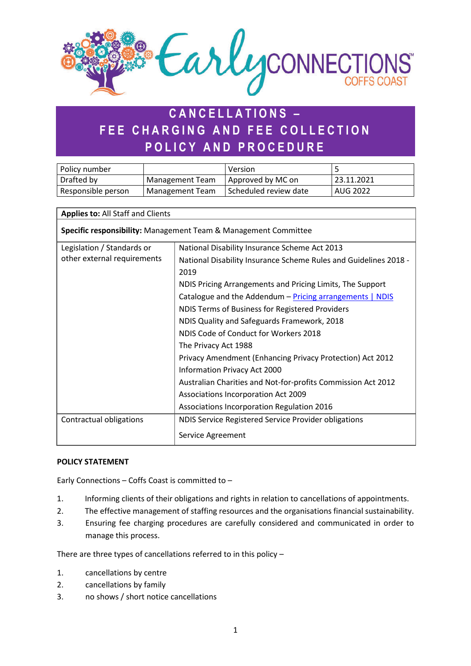

# **CANCELLATIONS – FEE CHARGING AND FEE COLLECTION POLICY AND PROCEDURE**

| Policy number      |                        | Version                 |            |
|--------------------|------------------------|-------------------------|------------|
| Drafted by         | Management Team        | Approved by MC on       | 23.11.2021 |
| Responsible person | <b>Management Team</b> | l Scheduled review date | AUG 2022   |

## **Applies to:** All Staff and Clients

**Specific responsibility:** Management Team & Management Committee

| Legislation / Standards or  | National Disability Insurance Scheme Act 2013                    |  |  |
|-----------------------------|------------------------------------------------------------------|--|--|
| other external requirements | National Disability Insurance Scheme Rules and Guidelines 2018 - |  |  |
|                             | 2019                                                             |  |  |
|                             | NDIS Pricing Arrangements and Pricing Limits, The Support        |  |  |
|                             | Catalogue and the Addendum - Pricing arrangements   NDIS         |  |  |
|                             | NDIS Terms of Business for Registered Providers                  |  |  |
|                             | NDIS Quality and Safeguards Framework, 2018                      |  |  |
|                             | NDIS Code of Conduct for Workers 2018                            |  |  |
|                             | The Privacy Act 1988                                             |  |  |
|                             | Privacy Amendment (Enhancing Privacy Protection) Act 2012        |  |  |
|                             | Information Privacy Act 2000                                     |  |  |
|                             | Australian Charities and Not-for-profits Commission Act 2012     |  |  |
|                             | Associations Incorporation Act 2009                              |  |  |
|                             | Associations Incorporation Regulation 2016                       |  |  |
| Contractual obligations     | NDIS Service Registered Service Provider obligations             |  |  |
|                             | Service Agreement                                                |  |  |

#### **POLICY STATEMENT**

Early Connections – Coffs Coast is committed to –

- 1. Informing clients of their obligations and rights in relation to cancellations of appointments.
- 2. The effective management of staffing resources and the organisations financial sustainability.
- 3. Ensuring fee charging procedures are carefully considered and communicated in order to manage this process.

There are three types of cancellations referred to in this policy –

- 1. cancellations by centre
- 2. cancellations by family
- 3. no shows / short notice cancellations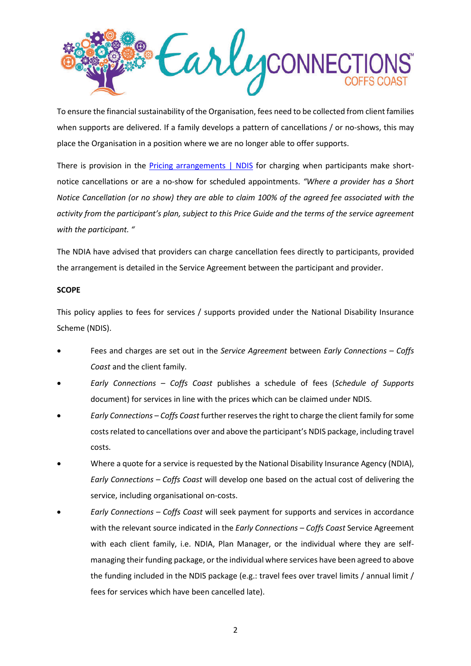

To ensure the financial sustainability of the Organisation, fees need to be collected from client families when supports are delivered. If a family develops a pattern of cancellations / or no-shows, this may place the Organisation in a position where we are no longer able to offer supports.

There is provision in the [Pricing arrangements | NDIS](https://www.ndis.gov.au/providers/pricing-arrangements#ndis-price-guide-2020-21-effective-1-july-2020) for charging when participants make shortnotice cancellations or are a no-show for scheduled appointments. *"Where a provider has a Short Notice Cancellation (or no show) they are able to claim 100% of the agreed fee associated with the activity from the participant's plan, subject to this Price Guide and the terms of the service agreement with the participant. "* 

The NDIA have advised that providers can charge cancellation fees directly to participants, provided the arrangement is detailed in the Service Agreement between the participant and provider.

#### **SCOPE**

This policy applies to fees for services / supports provided under the National Disability Insurance Scheme (NDIS).

- Fees and charges are set out in the *Service Agreement* between *Early Connections Coffs Coast* and the client family.
- *Early Connections Coffs Coast* publishes a schedule of fees (*Schedule of Supports* document) for services in line with the prices which can be claimed under NDIS.
- *Early Connections Coffs Coast* further reserves the right to charge the client family for some costs related to cancellations over and above the participant's NDIS package, including travel costs.
- Where a quote for a service is requested by the National Disability Insurance Agency (NDIA), *Early Connections – Coffs Coast* will develop one based on the actual cost of delivering the service, including organisational on-costs.
- *Early Connections Coffs Coast* will seek payment for supports and services in accordance with the relevant source indicated in the *Early Connections – Coffs Coast* Service Agreement with each client family, i.e. NDIA, Plan Manager, or the individual where they are selfmanaging their funding package, or the individual where services have been agreed to above the funding included in the NDIS package (e.g.: travel fees over travel limits / annual limit / fees for services which have been cancelled late).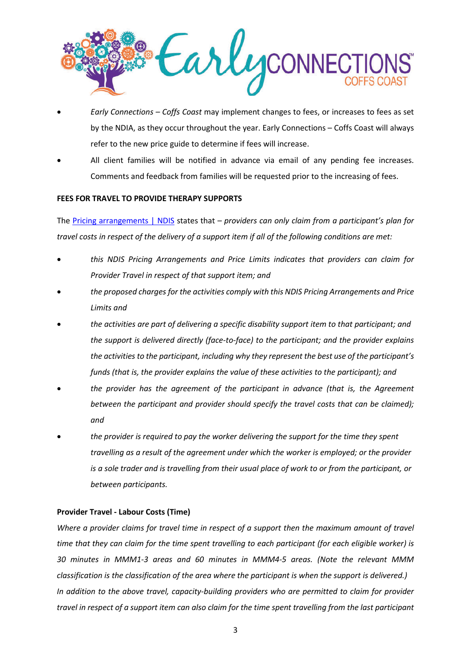

- *Early Connections Coffs Coast* may implement changes to fees, or increases to fees as set by the NDIA, as they occur throughout the year. Early Connections – Coffs Coast will always refer to the new price guide to determine if fees will increase.
- All client families will be notified in advance via email of any pending fee increases. Comments and feedback from families will be requested prior to the increasing of fees.

#### **FEES FOR TRAVEL TO PROVIDE THERAPY SUPPORTS**

The [Pricing arrangements | NDIS](https://www.ndis.gov.au/providers/pricing-arrangements#ndis-price-guide-2020-21-effective-1-july-2020) states that *– providers can only claim from a participant's plan for travel costs in respect of the delivery of a support item if all of the following conditions are met:*

- *this NDIS Pricing Arrangements and Price Limits indicates that providers can claim for Provider Travel in respect of that support item; and*
- *the proposed charges for the activities comply with this NDIS Pricing Arrangements and Price Limits and*
- *the activities are part of delivering a specific disability support item to that participant; and the support is delivered directly (face-to-face) to the participant; and the provider explains the activities to the participant, including why they represent the best use of the participant's funds (that is, the provider explains the value of these activities to the participant); and*
- *the provider has the agreement of the participant in advance (that is, the Agreement between the participant and provider should specify the travel costs that can be claimed); and*
- *the provider is required to pay the worker delivering the support for the time they spent travelling as a result of the agreement under which the worker is employed; or the provider is a sole trader and is travelling from their usual place of work to or from the participant, or between participants.*

#### **Provider Travel - Labour Costs (Time)**

*Where a provider claims for travel time in respect of a support then the maximum amount of travel time that they can claim for the time spent travelling to each participant (for each eligible worker) is 30 minutes in MMM1-3 areas and 60 minutes in MMM4-5 areas. (Note the relevant MMM classification is the classification of the area where the participant is when the support is delivered.) In addition to the above travel, capacity-building providers who are permitted to claim for provider travel in respect of a support item can also claim for the time spent travelling from the last participant*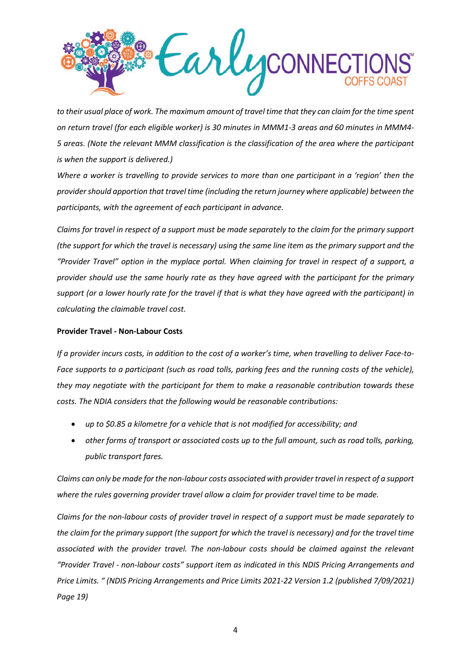

*to their usual place of work. The maximum amount of travel time that they can claim for the time spent on return travel (for each eligible worker) is 30 minutes in MMM1-3 areas and 60 minutes in MMM4- 5 areas. (Note the relevant MMM classification is the classification of the area where the participant is when the support is delivered.)*

*Where a worker is travelling to provide services to more than one participant in a 'region' then the provider should apportion that travel time (including the return journey where applicable) between the participants, with the agreement of each participant in advance.*

*Claims for travel in respect of a support must be made separately to the claim for the primary support (the support for which the travel is necessary) using the same line item as the primary support and the "Provider Travel" option in the myplace portal. When claiming for travel in respect of a support, a provider should use the same hourly rate as they have agreed with the participant for the primary support (or a lower hourly rate for the travel if that is what they have agreed with the participant) in calculating the claimable travel cost.*

#### **Provider Travel - Non-Labour Costs**

*If a provider incurs costs, in addition to the cost of a worker's time, when travelling to deliver Face-to-Face supports to a participant (such as road tolls, parking fees and the running costs of the vehicle), they may negotiate with the participant for them to make a reasonable contribution towards these costs. The NDIA considers that the following would be reasonable contributions:*

- *up to \$0.85 a kilometre for a vehicle that is not modified for accessibility; and*
- *other forms of transport or associated costs up to the full amount, such as road tolls, parking, public transport fares.*

*Claims can only be made for the non-labour costs associated with provider travel in respect of a support where the rules governing provider travel allow a claim for provider travel time to be made.*

*Claims for the non-labour costs of provider travel in respect of a support must be made separately to the claim for the primary support (the support for which the travel is necessary) and for the travel time*  associated with the provider travel. The non-labour costs should be claimed against the relevant *"Provider Travel - non-labour costs" support item as indicated in this NDIS Pricing Arrangements and Price Limits. " (NDIS Pricing Arrangements and Price Limits 2021-22 Version 1.2 (published 7/09/2021) Page 19)*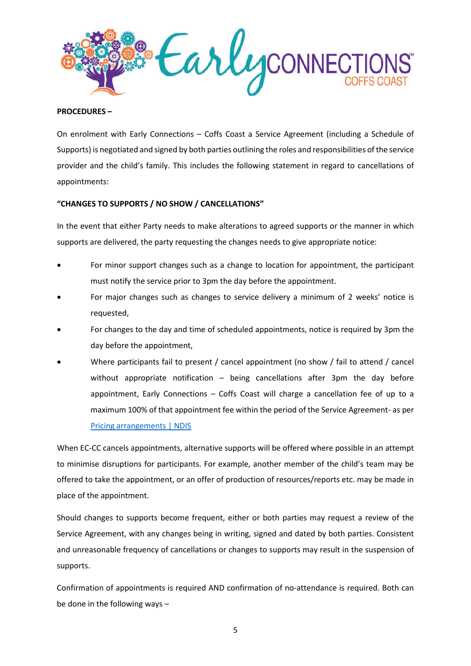

#### **PROCEDURES –**

On enrolment with Early Connections – Coffs Coast a Service Agreement (including a Schedule of Supports) is negotiated and signed by both parties outlining the roles and responsibilities of the service provider and the child's family. This includes the following statement in regard to cancellations of appointments:

#### **"CHANGES TO SUPPORTS / NO SHOW / CANCELLATIONS"**

In the event that either Party needs to make alterations to agreed supports or the manner in which supports are delivered, the party requesting the changes needs to give appropriate notice:

- For minor support changes such as a change to location for appointment, the participant must notify the service prior to 3pm the day before the appointment.
- For major changes such as changes to service delivery a minimum of 2 weeks' notice is requested,
- For changes to the day and time of scheduled appointments, notice is required by 3pm the day before the appointment,
- Where participants fail to present / cancel appointment (no show / fail to attend / cancel without appropriate notification – being cancellations after 3pm the day before appointment, Early Connections – Coffs Coast will charge a cancellation fee of up to a maximum 100% of that appointment fee within the period of the Service Agreement- as per [Pricing arrangements | NDIS](https://www.ndis.gov.au/providers/pricing-arrangements#ndis-price-guide-2020-21-effective-1-july-2020)

When EC-CC cancels appointments, alternative supports will be offered where possible in an attempt to minimise disruptions for participants. For example, another member of the child's team may be offered to take the appointment, or an offer of production of resources/reports etc. may be made in place of the appointment.

Should changes to supports become frequent, either or both parties may request a review of the Service Agreement, with any changes being in writing, signed and dated by both parties. Consistent and unreasonable frequency of cancellations or changes to supports may result in the suspension of supports.

Confirmation of appointments is required AND confirmation of no-attendance is required. Both can be done in the following ways –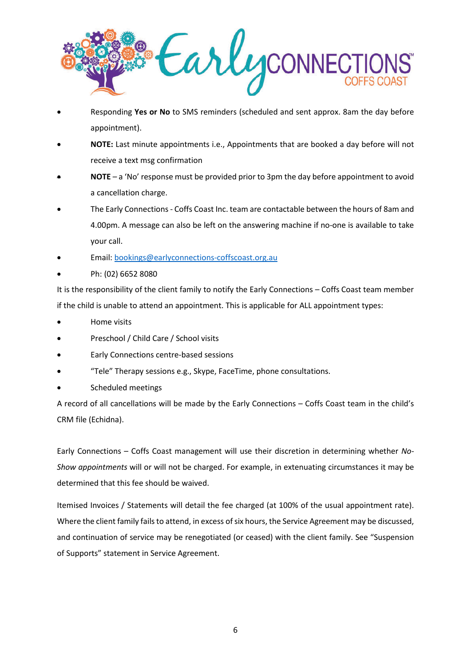

- Responding **Yes or No** to SMS reminders (scheduled and sent approx. 8am the day before appointment).
- **NOTE:** Last minute appointments i.e., Appointments that are booked a day before will not receive a text msg confirmation
- **NOTE** a 'No' response must be provided prior to 3pm the day before appointment to avoid a cancellation charge.
- The Early Connections Coffs Coast Inc. team are contactable between the hours of 8am and 4.00pm. A message can also be left on the answering machine if no-one is available to take your call.
- Email[: bookings@earlyconnections-coffscoast.org.au](mailto:bookings@earlyconnections-coffscoast.org.au)
- Ph: (02) 6652 8080

It is the responsibility of the client family to notify the Early Connections – Coffs Coast team member if the child is unable to attend an appointment. This is applicable for ALL appointment types:

- Home visits
- Preschool / Child Care / School visits
- Early Connections centre-based sessions
- "Tele" Therapy sessions e.g., Skype, FaceTime, phone consultations.
- Scheduled meetings

A record of all cancellations will be made by the Early Connections – Coffs Coast team in the child's CRM file (Echidna).

Early Connections – Coffs Coast management will use their discretion in determining whether *No-Show appointments* will or will not be charged. For example, in extenuating circumstances it may be determined that this fee should be waived.

Itemised Invoices / Statements will detail the fee charged (at 100% of the usual appointment rate). Where the client family fails to attend, in excess of six hours, the Service Agreement may be discussed, and continuation of service may be renegotiated (or ceased) with the client family. See "Suspension of Supports" statement in Service Agreement.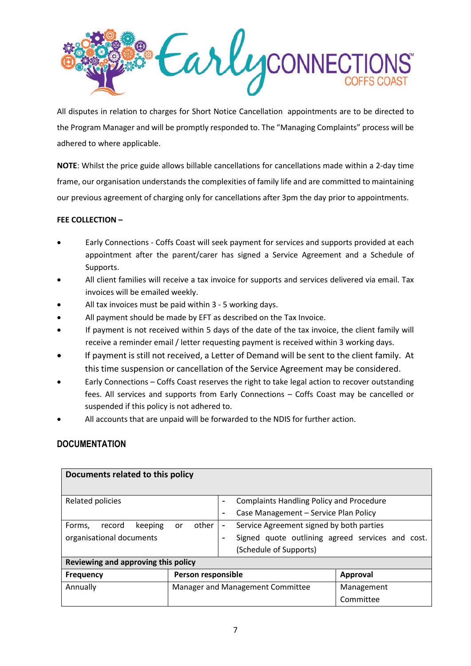

All disputes in relation to charges for Short Notice Cancellation appointments are to be directed to the Program Manager and will be promptly responded to. The "Managing Complaints" process will be adhered to where applicable.

**NOTE**: Whilst the price guide allows billable cancellations for cancellations made within a 2-day time frame, our organisation understands the complexities of family life and are committed to maintaining our previous agreement of charging only for cancellations after 3pm the day prior to appointments.

## **FEE COLLECTION –**

- Early Connections Coffs Coast will seek payment for services and supports provided at each appointment after the parent/carer has signed a Service Agreement and a Schedule of Supports.
- All client families will receive a tax invoice for supports and services delivered via email. Tax invoices will be emailed weekly.
- All tax invoices must be paid within 3 5 working days.
- All payment should be made by EFT as described on the Tax Invoice.
- If payment is not received within 5 days of the date of the tax invoice, the client family will receive a reminder email / letter requesting payment is received within 3 working days.
- If payment is still not received, a Letter of Demand will be sent to the client family. At this time suspension or cancellation of the Service Agreement may be considered.
- Early Connections Coffs Coast reserves the right to take legal action to recover outstanding fees. All services and supports from Early Connections – Coffs Coast may be cancelled or suspended if this policy is not adhered to.
- All accounts that are unpaid will be forwarded to the NDIS for further action.

# **DOCUMENTATION**

| Documents related to this policy    |                    |                                  |                                                  |                 |  |
|-------------------------------------|--------------------|----------------------------------|--------------------------------------------------|-----------------|--|
| Related policies                    |                    |                                  | <b>Complaints Handling Policy and Procedure</b>  |                 |  |
|                                     |                    |                                  | Case Management - Service Plan Policy            |                 |  |
| keeping<br>Forms,<br>record<br>or   | other              | $\overline{\phantom{a}}$         | Service Agreement signed by both parties         |                 |  |
| organisational documents            |                    |                                  | Signed quote outlining agreed services and cost. |                 |  |
|                                     |                    |                                  | (Schedule of Supports)                           |                 |  |
| Reviewing and approving this policy |                    |                                  |                                                  |                 |  |
| <b>Frequency</b>                    | Person responsible |                                  |                                                  | <b>Approval</b> |  |
| Annually                            |                    | Manager and Management Committee |                                                  | Management      |  |
|                                     |                    |                                  |                                                  | Committee       |  |